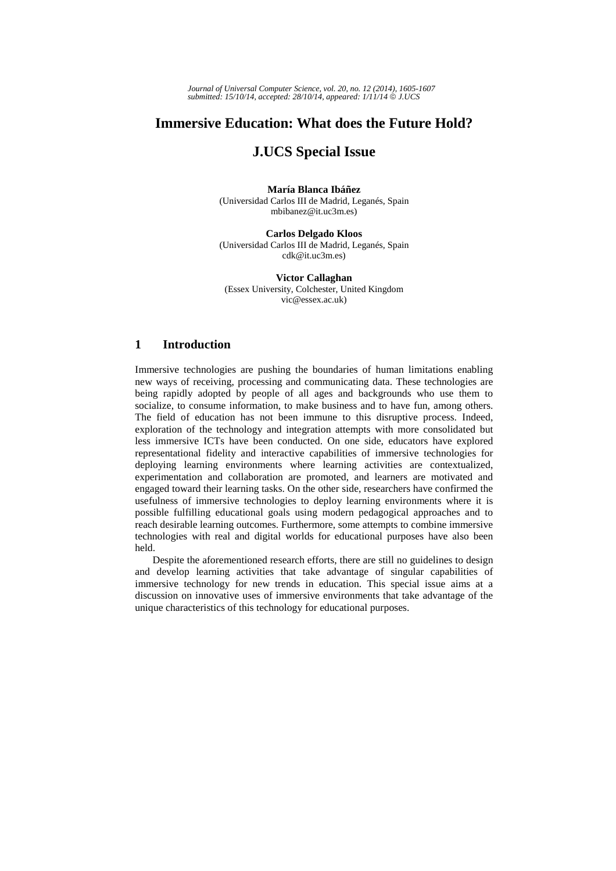*Journal of Universal Computer Science, vol. 20, no. 12 (2014), 1605-1607 submitted: 15/10/14, accepted: 28/10/14, appeared: 1/11/14* © *J.UCS*

# **Immersive Education: What does the Future Hold?**

## **J.UCS Special Issue**

**María Blanca Ibáñez**  (Universidad Carlos III de Madrid, Leganés, Spain mbibanez@it.uc3m.es)

**Carlos Delgado Kloos**  (Universidad Carlos III de Madrid, Leganés, Spain cdk@it.uc3m.es)

**Victor Callaghan**  (Essex University, Colchester, United Kingdom vic@essex.ac.uk)

### **1 Introduction**

Immersive technologies are pushing the boundaries of human limitations enabling new ways of receiving, processing and communicating data. These technologies are being rapidly adopted by people of all ages and backgrounds who use them to socialize, to consume information, to make business and to have fun, among others. The field of education has not been immune to this disruptive process. Indeed, exploration of the technology and integration attempts with more consolidated but less immersive ICTs have been conducted. On one side, educators have explored representational fidelity and interactive capabilities of immersive technologies for deploying learning environments where learning activities are contextualized, experimentation and collaboration are promoted, and learners are motivated and engaged toward their learning tasks. On the other side, researchers have confirmed the usefulness of immersive technologies to deploy learning environments where it is possible fulfilling educational goals using modern pedagogical approaches and to reach desirable learning outcomes. Furthermore, some attempts to combine immersive technologies with real and digital worlds for educational purposes have also been held.

Despite the aforementioned research efforts, there are still no guidelines to design and develop learning activities that take advantage of singular capabilities of immersive technology for new trends in education. This special issue aims at a discussion on innovative uses of immersive environments that take advantage of the unique characteristics of this technology for educational purposes.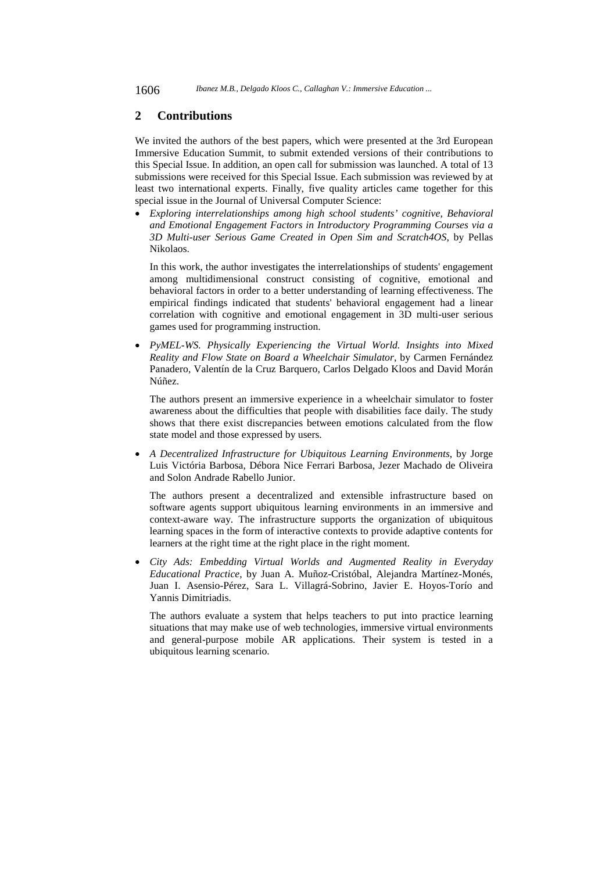#### **2 Contributions**

We invited the authors of the best papers, which were presented at the 3rd European Immersive Education Summit, to submit extended versions of their contributions to this Special Issue. In addition, an open call for submission was launched. A total of 13 submissions were received for this Special Issue. Each submission was reviewed by at least two international experts. Finally, five quality articles came together for this special issue in the Journal of Universal Computer Science:

 *Exploring interrelationships among high school students' cognitive, Behavioral and Emotional Engagement Factors in Introductory Programming Courses via a 3D Multi-user Serious Game Created in Open Sim and Scratch4OS*, by Pellas Nikolaos.

In this work, the author investigates the interrelationships of students' engagement among multidimensional construct consisting of cognitive, emotional and behavioral factors in order to a better understanding of learning effectiveness. The empirical findings indicated that students' behavioral engagement had a linear correlation with cognitive and emotional engagement in 3D multi-user serious games used for programming instruction.

 *PyMEL-WS. Physically Experiencing the Virtual World. Insights into Mixed Reality and Flow State on Board a Wheelchair Simulator*, by Carmen Fernández Panadero, Valentín de la Cruz Barquero, Carlos Delgado Kloos and David Morán Núñez.

The authors present an immersive experience in a wheelchair simulator to foster awareness about the difficulties that people with disabilities face daily. The study shows that there exist discrepancies between emotions calculated from the flow state model and those expressed by users.

 *A Decentralized Infrastructure for Ubiquitous Learning Environments*, by Jorge Luis Victória Barbosa, Débora Nice Ferrari Barbosa, Jezer Machado de Oliveira and Solon Andrade Rabello Junior.

The authors present a decentralized and extensible infrastructure based on software agents support ubiquitous learning environments in an immersive and context-aware way. The infrastructure supports the organization of ubiquitous learning spaces in the form of interactive contexts to provide adaptive contents for learners at the right time at the right place in the right moment.

 *City Ads: Embedding Virtual Worlds and Augmented Reality in Everyday Educational Practice*, by Juan A. Muñoz-Cristóbal, Alejandra Martínez-Monés, Juan I. Asensio-Pérez, Sara L. Villagrá-Sobrino, Javier E. Hoyos-Torío and Yannis Dimitriadis.

The authors evaluate a system that helps teachers to put into practice learning situations that may make use of web technologies, immersive virtual environments and general-purpose mobile AR applications. Their system is tested in a ubiquitous learning scenario.